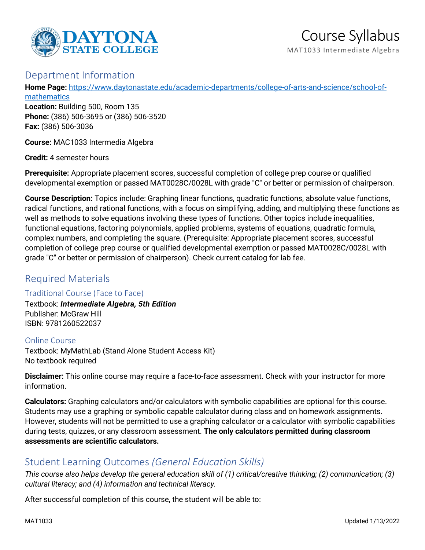

## Department Information

**Home Page:** [https://www.daytonastate.edu/academic-departments/college-of-arts-and-science/school-of](https://www.daytonastate.edu/academic-departments/college-of-arts-and-science/school-of-mathematics)[mathematics](https://www.daytonastate.edu/academic-departments/college-of-arts-and-science/school-of-mathematics)

**Location:** Building 500, Room 135 **Phone:** (386) 506-3695 or (386) 506-3520 **Fax:** (386) 506-3036

**Course:** MAC1033 Intermedia Algebra

**Credit:** 4 semester hours

**Prerequisite:** Appropriate placement scores, successful completion of college prep course or qualified developmental exemption or passed MAT0028C/0028L with grade "C" or better or permission of chairperson.

**Course Description:** Topics include: Graphing linear functions, quadratic functions, absolute value functions, radical functions, and rational functions, with a focus on simplifying, adding, and multiplying these functions as well as methods to solve equations involving these types of functions. Other topics include inequalities, functional equations, factoring polynomials, applied problems, systems of equations, quadratic formula, complex numbers, and completing the square. (Prerequisite: Appropriate placement scores, successful completion of college prep course or qualified developmental exemption or passed MAT0028C/0028L with grade "C" or better or permission of chairperson). Check current catalog for lab fee.

# Required Materials

### Traditional Course (Face to Face)

Textbook: *Intermediate Algebra, 5th Edition* Publisher: McGraw Hill ISBN: 9781260522037

Online Course Textbook: MyMathLab (Stand Alone Student Access Kit) No textbook required

**Disclaimer:** This online course may require a face-to-face assessment. Check with your instructor for more information.

**Calculators:** Graphing calculators and/or calculators with symbolic capabilities are optional for this course. Students may use a graphing or symbolic capable calculator during class and on homework assignments. However, students will not be permitted to use a graphing calculator or a calculator with symbolic capabilities during tests, quizzes, or any classroom assessment. **The only calculators permitted during classroom assessments are scientific calculators.**

# Student Learning Outcomes *(General Education Skills)*

*This course also helps develop the general education skill of (1) critical/creative thinking; (2) communication; (3) cultural literacy; and (4) information and technical literacy.*

After successful completion of this course, the student will be able to: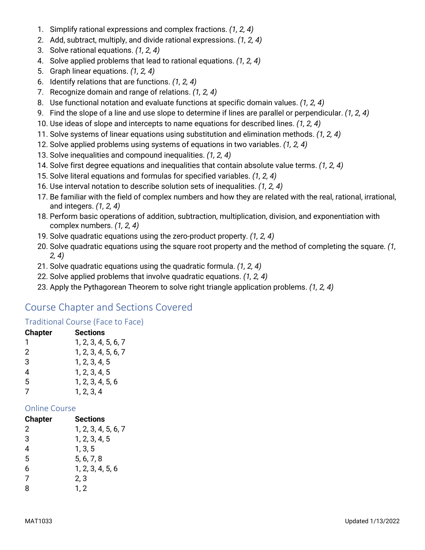- 1. Simplify rational expressions and complex fractions. *(1, 2, 4)*
- 2. Add, subtract, multiply, and divide rational expressions. *(1, 2, 4)*
- 3. Solve rational equations. *(1, 2, 4)*
- 4. Solve applied problems that lead to rational equations. *(1, 2, 4)*
- 5. Graph linear equations. *(1, 2, 4)*
- 6. Identify relations that are functions. *(1, 2, 4)*
- 7. Recognize domain and range of relations. *(1, 2, 4)*
- 8. Use functional notation and evaluate functions at specific domain values. *(1, 2, 4)*
- 9. Find the slope of a line and use slope to determine if lines are parallel or perpendicular. *(1, 2, 4)*
- 10. Use ideas of slope and intercepts to name equations for described lines. *(1, 2, 4)*
- 11. Solve systems of linear equations using substitution and elimination methods. *(1, 2, 4)*
- 12. Solve applied problems using systems of equations in two variables. *(1, 2, 4)*
- 13. Solve inequalities and compound inequalities. *(1, 2, 4)*
- 14. Solve first degree equations and inequalities that contain absolute value terms. *(1, 2, 4)*
- 15. Solve literal equations and formulas for specified variables. *(1, 2, 4)*
- 16. Use interval notation to describe solution sets of inequalities. *(1, 2, 4)*
- 17. Be familiar with the field of complex numbers and how they are related with the real, rational, irrational, and integers. *(1, 2, 4)*
- 18. Perform basic operations of addition, subtraction, multiplication, division, and exponentiation with complex numbers. *(1, 2, 4)*
- 19. Solve quadratic equations using the zero-product property. *(1, 2, 4)*
- 20. Solve quadratic equations using the square root property and the method of completing the square. *(1, 2, 4)*
- 21. Solve quadratic equations using the quadratic formula. *(1, 2, 4)*
- 22. Solve applied problems that involve quadratic equations. *(1, 2, 4)*
- 23. Apply the Pythagorean Theorem to solve right triangle application problems. *(1, 2, 4)*

# Course Chapter and Sections Covered

## Traditional Course (Face to Face)

| <b>Chapter</b> | <b>Sections</b>     |
|----------------|---------------------|
| 1              | 1, 2, 3, 4, 5, 6, 7 |
| 2              | 1, 2, 3, 4, 5, 6, 7 |
| 3              | 1, 2, 3, 4, 5       |
| 4              | 1, 2, 3, 4, 5       |
| 5              | 1, 2, 3, 4, 5, 6    |
| 7              | 1, 2, 3, 4          |

### Online Course

| Sections            |
|---------------------|
| 1, 2, 3, 4, 5, 6, 7 |
| 1, 2, 3, 4, 5       |
| 1, 3, 5             |
| 5, 6, 7, 8          |
| 1, 2, 3, 4, 5, 6    |
| 2, 3                |
| 1, 2                |
|                     |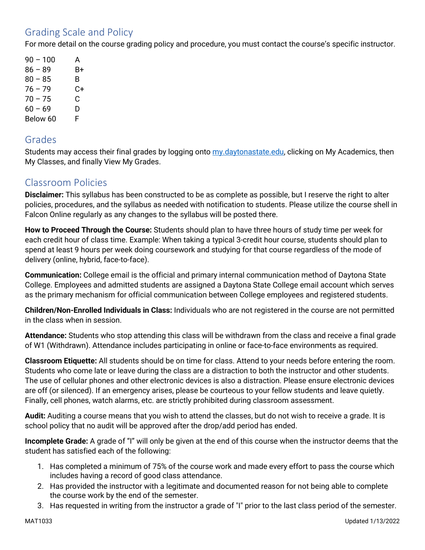# Grading Scale and Policy

For more detail on the course grading policy and procedure, you must contact the course's specific instructor.

 $90 - 100$  A 86 – 89 B+  $80 - 85$  B 76 – 79 C+  $70 - 75$  C  $60 - 69$  D Below 60 F

## Grades

Students may access their final grades by logging onto [my.daytonastate.edu,](https://my.daytonastate.edu/) clicking on My Academics, then My Classes, and finally View My Grades.

# Classroom Policies

**Disclaimer:** This syllabus has been constructed to be as complete as possible, but I reserve the right to alter policies, procedures, and the syllabus as needed with notification to students. Please utilize the course shell in Falcon Online regularly as any changes to the syllabus will be posted there.

**How to Proceed Through the Course:** Students should plan to have three hours of study time per week for each credit hour of class time. Example: When taking a typical 3-credit hour course, students should plan to spend at least 9 hours per week doing coursework and studying for that course regardless of the mode of delivery (online, hybrid, face-to-face).

**Communication:** College email is the official and primary internal communication method of Daytona State College. Employees and admitted students are assigned a Daytona State College email account which serves as the primary mechanism for official communication between College employees and registered students.

**Children/Non-Enrolled Individuals in Class:** Individuals who are not registered in the course are not permitted in the class when in session.

**Attendance:** Students who stop attending this class will be withdrawn from the class and receive a final grade of W1 (Withdrawn). Attendance includes participating in online or face-to-face environments as required.

**Classroom Etiquette:** All students should be on time for class. Attend to your needs before entering the room. Students who come late or leave during the class are a distraction to both the instructor and other students. The use of cellular phones and other electronic devices is also a distraction. Please ensure electronic devices are off (or silenced). If an emergency arises, please be courteous to your fellow students and leave quietly. Finally, cell phones, watch alarms, etc. are strictly prohibited during classroom assessment.

**Audit:** Auditing a course means that you wish to attend the classes, but do not wish to receive a grade. It is school policy that no audit will be approved after the drop/add period has ended.

**Incomplete Grade:** A grade of "I" will only be given at the end of this course when the instructor deems that the student has satisfied each of the following:

- 1. Has completed a minimum of 75% of the course work and made every effort to pass the course which includes having a record of good class attendance.
- 2. Has provided the instructor with a legitimate and documented reason for not being able to complete the course work by the end of the semester.
- 3. Has requested in writing from the instructor a grade of "I" prior to the last class period of the semester.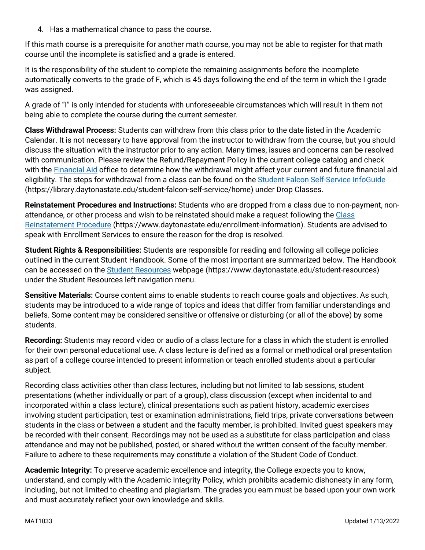4. Has a mathematical chance to pass the course.

If this math course is a prerequisite for another math course, you may not be able to register for that math course until the incomplete is satisfied and a grade is entered.

It is the responsibility of the student to complete the remaining assignments before the incomplete automatically converts to the grade of F, which is 45 days following the end of the term in which the I grade was assigned.

A grade of "I" is only intended for students with unforeseeable circumstances which will result in them not being able to complete the course during the current semester.

**Class Withdrawal Process:** Students can withdraw from this class prior to the date listed in the Academic Calendar. It is not necessary to have approval from the instructor to withdraw from the course, but you should discuss the situation with the instructor prior to any action. Many times, issues and concerns can be resolved with communication. Please review the Refund/Repayment Policy in the current college catalog and check with the [Financial Aid](https://www.daytonastate.edu/financial-aid) office to determine how the withdrawal might affect your current and future financial aid eligibility. The steps for withdrawal from a class can be found on the [Student Falcon Self-Service InfoGuide](https://library.daytonastate.edu/student-falcon-self-service/home) (https://library.daytonastate.edu/student-falcon-self-service/home) under Drop Classes.

**Reinstatement Procedures and Instructions:** Students who are dropped from a class due to non-payment, nonattendance, or other process and wish to be reinstated should make a request following the Class [Reinstatement Procedure](https://www.daytonastate.edu/enrollment-information/index.html) (https://www.daytonastate.edu/enrollment-information). Students are advised to speak with Enrollment Services to ensure the reason for the drop is resolved.

**Student Rights & Responsibilities:** Students are responsible for reading and following all college policies outlined in the current Student Handbook. Some of the most important are summarized below. The Handbook can be accessed on the [Student Resources](https://www.daytonastate.edu/student-resources) webpage (https://www.daytonastate.edu/student-resources) under the Student Resources left navigation menu.

**Sensitive Materials:** Course content aims to enable students to reach course goals and objectives. As such, students may be introduced to a wide range of topics and ideas that differ from familiar understandings and beliefs. Some content may be considered sensitive or offensive or disturbing (or all of the above) by some students.

**Recording:** Students may record video or audio of a class lecture for a class in which the student is enrolled for their own personal educational use. A class lecture is defined as a formal or methodical oral presentation as part of a college course intended to present information or teach enrolled students about a particular subject.

Recording class activities other than class lectures, including but not limited to lab sessions, student presentations (whether individually or part of a group), class discussion (except when incidental to and incorporated within a class lecture), clinical presentations such as patient history, academic exercises involving student participation, test or examination administrations, field trips, private conversations between students in the class or between a student and the faculty member, is prohibited. Invited guest speakers may be recorded with their consent. Recordings may not be used as a substitute for class participation and class attendance and may not be published, posted, or shared without the written consent of the faculty member. Failure to adhere to these requirements may constitute a violation of the Student Code of Conduct.

**Academic Integrity:** To preserve academic excellence and integrity, the College expects you to know, understand, and comply with the Academic Integrity Policy, which prohibits academic dishonesty in any form, including, but not limited to cheating and plagiarism. The grades you earn must be based upon your own work and must accurately reflect your own knowledge and skills.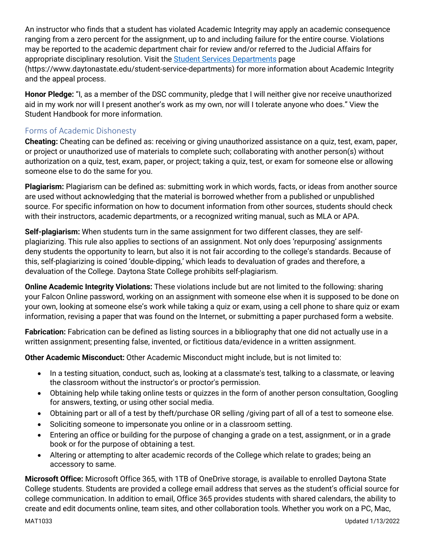An instructor who finds that a student has violated Academic Integrity may apply an academic consequence ranging from a zero percent for the assignment, up to and including failure for the entire course. Violations may be reported to the academic department chair for review and/or referred to the Judicial Affairs for appropriate disciplinary resolution. Visit the [Student Services Departments](https://www.daytonastate.edu/student-service-departments) page (https://www.daytonastate.edu/student-service-departments) for more information about Academic Integrity and the appeal process.

**Honor Pledge:** "I, as a member of the DSC community, pledge that I will neither give nor receive unauthorized aid in my work nor will I present another's work as my own, nor will I tolerate anyone who does." View the Student Handbook for more information.

### Forms of Academic Dishonesty

**Cheating:** Cheating can be defined as: receiving or giving unauthorized assistance on a quiz, test, exam, paper, or project or unauthorized use of materials to complete such; collaborating with another person(s) without authorization on a quiz, test, exam, paper, or project; taking a quiz, test, or exam for someone else or allowing someone else to do the same for you.

**Plagiarism:** Plagiarism can be defined as: submitting work in which words, facts, or ideas from another source are used without acknowledging that the material is borrowed whether from a published or unpublished source. For specific information on how to document information from other sources, students should check with their instructors, academic departments, or a recognized writing manual, such as MLA or APA.

**Self-plagiarism:** When students turn in the same assignment for two different classes, they are selfplagiarizing. This rule also applies to sections of an assignment. Not only does 'repurposing' assignments deny students the opportunity to learn, but also it is not fair according to the college's standards. Because of this, self-plagiarizing is coined 'double-dipping,' which leads to devaluation of grades and therefore, a devaluation of the College. Daytona State College prohibits self-plagiarism.

**Online Academic Integrity Violations:** These violations include but are not limited to the following: sharing your Falcon Online password, working on an assignment with someone else when it is supposed to be done on your own, looking at someone else's work while taking a quiz or exam, using a cell phone to share quiz or exam information, revising a paper that was found on the Internet, or submitting a paper purchased form a website.

**Fabrication:** Fabrication can be defined as listing sources in a bibliography that one did not actually use in a written assignment; presenting false, invented, or fictitious data/evidence in a written assignment.

**Other Academic Misconduct:** Other Academic Misconduct might include, but is not limited to:

- In a testing situation, conduct, such as, looking at a classmate's test, talking to a classmate, or leaving the classroom without the instructor's or proctor's permission.
- Obtaining help while taking online tests or quizzes in the form of another person consultation, Googling for answers, texting, or using other social media.
- Obtaining part or all of a test by theft/purchase OR selling /giving part of all of a test to someone else.
- Soliciting someone to impersonate you online or in a classroom setting.
- Entering an office or building for the purpose of changing a grade on a test, assignment, or in a grade book or for the purpose of obtaining a test.
- Altering or attempting to alter academic records of the College which relate to grades; being an accessory to same.

**Microsoft Office:** Microsoft Office 365, with 1TB of OneDrive storage, is available to enrolled Daytona State College students. Students are provided a college email address that serves as the student's official source for college communication. In addition to email, Office 365 provides students with shared calendars, the ability to create and edit documents online, team sites, and other collaboration tools. Whether you work on a PC, Mac,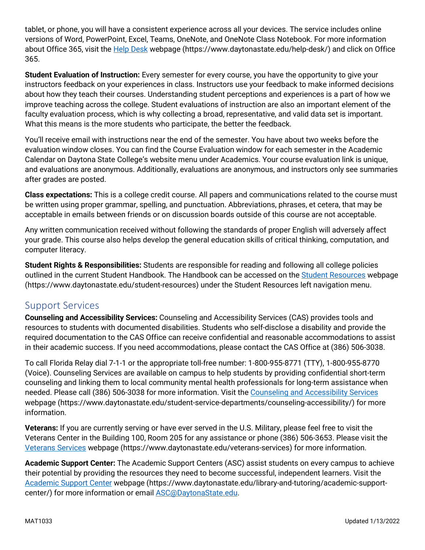tablet, or phone, you will have a consistent experience across all your devices. The service includes online versions of Word, PowerPoint, Excel, Teams, OneNote, and OneNote Class Notebook. For more information about Office 365, visit the [Help Desk](https://www.daytonastate.edu/help-desk/) webpage (https://www.daytonastate.edu/help-desk/) and click on Office 365.

**Student Evaluation of Instruction:** Every semester for every course, you have the opportunity to give your instructors feedback on your experiences in class. Instructors use your feedback to make informed decisions about how they teach their courses. Understanding student perceptions and experiences is a part of how we improve teaching across the college. Student evaluations of instruction are also an important element of the faculty evaluation process, which is why collecting a broad, representative, and valid data set is important. What this means is the more students who participate, the better the feedback.

You'll receive email with instructions near the end of the semester. You have about two weeks before the evaluation window closes. You can find the Course Evaluation window for each semester in the Academic Calendar on Daytona State College's website menu under Academics. Your course evaluation link is unique, and evaluations are anonymous. Additionally, evaluations are anonymous, and instructors only see summaries after grades are posted.

**Class expectations:** This is a college credit course. All papers and communications related to the course must be written using proper grammar, spelling, and punctuation. Abbreviations, phrases, et cetera, that may be acceptable in emails between friends or on discussion boards outside of this course are not acceptable.

Any written communication received without following the standards of proper English will adversely affect your grade. This course also helps develop the general education skills of critical thinking, computation, and computer literacy.

**Student Rights & Responsibilities:** Students are responsible for reading and following all college policies outlined in the current Student Handbook. The Handbook can be accessed on the [Student Resources](https://www.daytonastate.edu/student-resources) webpage (https://www.daytonastate.edu/student-resources) under the Student Resources left navigation menu.

# Support Services

**Counseling and Accessibility Services:** Counseling and Accessibility Services (CAS) provides tools and resources to students with documented disabilities. Students who self-disclose a disability and provide the required documentation to the CAS Office can receive confidential and reasonable accommodations to assist in their academic success. If you need accommodations, please contact the CAS Office at (386) 506-3038.

To call Florida Relay dial 7-1-1 or the appropriate toll-free number: 1-800-955-8771 (TTY), 1-800-955-8770 (Voice). Counseling Services are available on campus to help students by providing confidential short-term counseling and linking them to local community mental health professionals for long-term assistance when needed. Please call (386) 506-3038 for more information. Visit the [Counseling and Accessibility Services](https://www.daytonastate.edu/student-service-departments/counseling-accessibility/) webpage (https://www.daytonastate.edu/student-service-departments/counseling-accessibility/) for more information.

**Veterans:** If you are currently serving or have ever served in the U.S. Military, please feel free to visit the Veterans Center in the Building 100, Room 205 for any assistance or phone (386) 506-3653. Please visit the [Veterans Services](https://www.daytonastate.edu/veterans-services) webpage (https://www.daytonastate.edu/veterans-services) for more information.

**Academic Support Center:** The Academic Support Centers (ASC) assist students on every campus to achieve their potential by providing the resources they need to become successful, independent learners. Visit the [Academic Support Center](https://www.daytonastate.edu/library-and-tutoring/academic-support-center/index.html) webpage (https://www.daytonastate.edu/library-and-tutoring/academic-supportcenter/) for more information or email [ASC@DaytonaState.edu.](mailto:ASC@DaytonaState.edu)